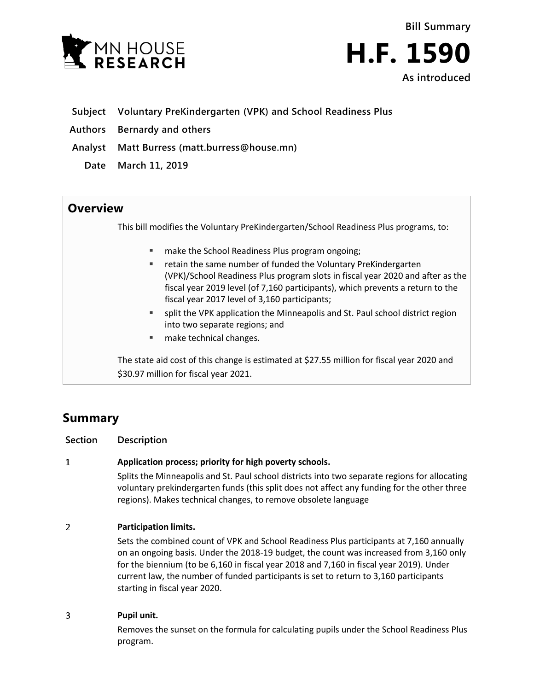



- **Subject Voluntary PreKindergarten (VPK) and School Readiness Plus**
- **Authors Bernardy and others**
- **Analyst Matt Burress (matt.burress@house.mn)**
	- **Date March 11, 2019**

# **Overview**

This bill modifies the Voluntary PreKindergarten/School Readiness Plus programs, to:

- **The School Readiness Plus program ongoing;**
- **F** retain the same number of funded the Voluntary PreKindergarten (VPK)/School Readiness Plus program slots in fiscal year 2020 and after as the fiscal year 2019 level (of 7,160 participants), which prevents a return to the fiscal year 2017 level of 3,160 participants;
- split the VPK application the Minneapolis and St. Paul school district region into two separate regions; and
- make technical changes.

The state aid cost of this change is estimated at \$27.55 million for fiscal year 2020 and \$30.97 million for fiscal year 2021.

# **Summary**

### **Section Description**  $\mathbf{1}$ **Application process; priority for high poverty schools.**

Splits the Minneapolis and St. Paul school districts into two separate regions for allocating voluntary prekindergarten funds (this split does not affect any funding for the other three regions). Makes technical changes, to remove obsolete language

#### $\overline{2}$ **Participation limits.**

Sets the combined count of VPK and School Readiness Plus participants at 7,160 annually on an ongoing basis. Under the 2018-19 budget, the count was increased from 3,160 only for the biennium (to be 6,160 in fiscal year 2018 and 7,160 in fiscal year 2019). Under current law, the number of funded participants is set to return to 3,160 participants starting in fiscal year 2020.

#### 3 **Pupil unit.**

Removes the sunset on the formula for calculating pupils under the School Readiness Plus program.